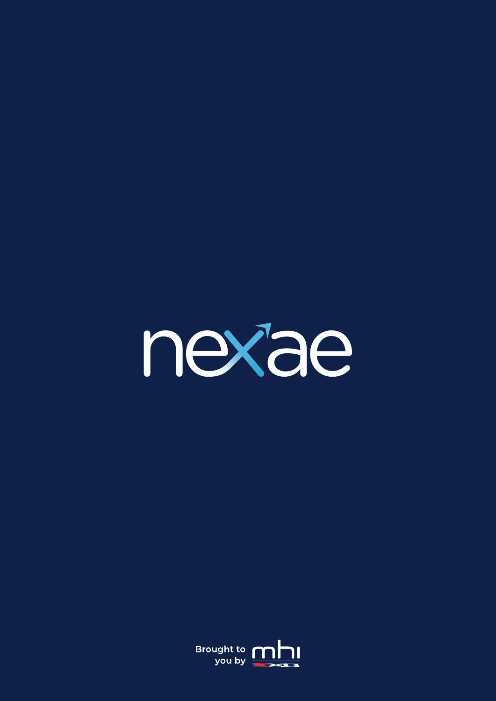

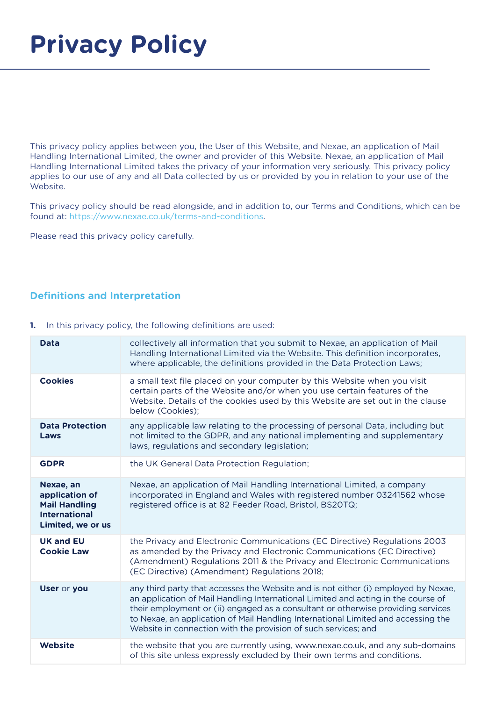This privacy policy applies between you, the User of this Website, and Nexae, an application of Mail Handling International Limited, the owner and provider of this Website. Nexae, an application of Mail Handling International Limited takes the privacy of your information very seriously. This privacy policy applies to our use of any and all Data collected by us or provided by you in relation to your use of the Website.

This privacy policy should be read alongside, and in addition to, our Terms and Conditions, which can be found at: https://www.nexae.co.uk/terms-and-conditions.

Please read this privacy policy carefully.

## **Definitions and Interpretation**

| <b>Data</b>                                                                                      | collectively all information that you submit to Nexae, an application of Mail<br>Handling International Limited via the Website. This definition incorporates,<br>where applicable, the definitions provided in the Data Protection Laws;                                                                                                                                                                          |
|--------------------------------------------------------------------------------------------------|--------------------------------------------------------------------------------------------------------------------------------------------------------------------------------------------------------------------------------------------------------------------------------------------------------------------------------------------------------------------------------------------------------------------|
| <b>Cookies</b>                                                                                   | a small text file placed on your computer by this Website when you visit<br>certain parts of the Website and/or when you use certain features of the<br>Website. Details of the cookies used by this Website are set out in the clause<br>below (Cookies);                                                                                                                                                         |
| <b>Data Protection</b><br>Laws                                                                   | any applicable law relating to the processing of personal Data, including but<br>not limited to the GDPR, and any national implementing and supplementary<br>laws, regulations and secondary legislation;                                                                                                                                                                                                          |
| <b>GDPR</b>                                                                                      | the UK General Data Protection Regulation;                                                                                                                                                                                                                                                                                                                                                                         |
| Nexae, an<br>application of<br><b>Mail Handling</b><br><b>International</b><br>Limited, we or us | Nexae, an application of Mail Handling International Limited, a company<br>incorporated in England and Wales with registered number 03241562 whose<br>registered office is at 82 Feeder Road, Bristol, BS20TQ;                                                                                                                                                                                                     |
| <b>UK and EU</b><br><b>Cookie Law</b>                                                            | the Privacy and Electronic Communications (EC Directive) Regulations 2003<br>as amended by the Privacy and Electronic Communications (EC Directive)<br>(Amendment) Regulations 2011 & the Privacy and Electronic Communications<br>(EC Directive) (Amendment) Regulations 2018;                                                                                                                                    |
| <b>User or you</b>                                                                               | any third party that accesses the Website and is not either (i) employed by Nexae,<br>an application of Mail Handling International Limited and acting in the course of<br>their employment or (ii) engaged as a consultant or otherwise providing services<br>to Nexae, an application of Mail Handling International Limited and accessing the<br>Website in connection with the provision of such services; and |
| <b>Website</b>                                                                                   | the website that you are currently using, www.nexae.co.uk, and any sub-domains<br>of this site unless expressly excluded by their own terms and conditions.                                                                                                                                                                                                                                                        |

**1.** In this privacy policy, the following definitions are used: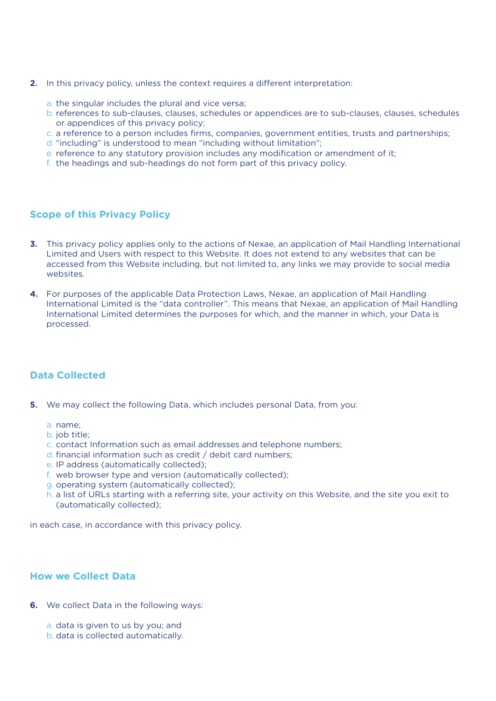- **2.** In this privacy policy, unless the context requires a different interpretation:
	- a. the singular includes the plural and vice versa;
	- b. references to sub-clauses, clauses, schedules or appendices are to sub-clauses, clauses, schedules or appendices of this privacy policy;
	- c. a reference to a person includes firms, companies, government entities, trusts and partnerships;
	- d. "including" is understood to mean "including without limitation";
	- e. reference to any statutory provision includes any modification or amendment of it;
	- f. the headings and sub-headings do not form part of this privacy policy.

## **Scope of this Privacy Policy**

- **3.** This privacy policy applies only to the actions of Nexae, an application of Mail Handling International Limited and Users with respect to this Website. It does not extend to any websites that can be accessed from this Website including, but not limited to, any links we may provide to social media websites.
- **4.** For purposes of the applicable Data Protection Laws, Nexae, an application of Mail Handling International Limited is the "data controller". This means that Nexae, an application of Mail Handling International Limited determines the purposes for which, and the manner in which, your Data is processed.

## **Data Collected**

- **5.** We may collect the following Data, which includes personal Data, from you:
	- a. name;
	- b. job title;
	- c. contact Information such as email addresses and telephone numbers;
	- d. financial information such as credit / debit card numbers;
	- e. IP address (automatically collected);
	- f. web browser type and version (automatically collected);
	- g. operating system (automatically collected);
	- h. a list of URLs starting with a referring site, your activity on this Website, and the site you exit to (automatically collected);

in each case, in accordance with this privacy policy.

## **How we Collect Data**

- **6.** We collect Data in the following ways:
	- a. data is given to us by you; and
	- b. data is collected automatically.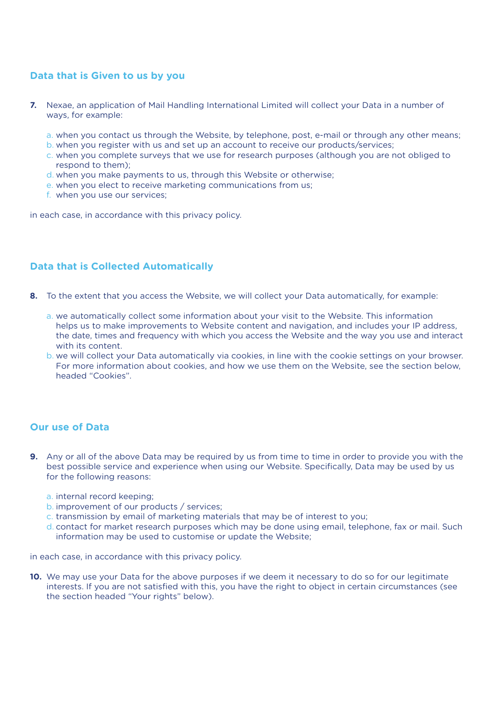# **Data that is Given to us by you**

- **7.** Nexae, an application of Mail Handling International Limited will collect your Data in a number of ways, for example:
	- a. when you contact us through the Website, by telephone, post, e-mail or through any other means;
	- b. when you register with us and set up an account to receive our products/services;
	- c. when you complete surveys that we use for research purposes (although you are not obliged to respond to them);
	- d. when you make payments to us, through this Website or otherwise;
	- e. when you elect to receive marketing communications from us;
	- f. when you use our services;

in each case, in accordance with this privacy policy.

## **Data that is Collected Automatically**

- **8.** To the extent that you access the Website, we will collect your Data automatically, for example:
	- a. we automatically collect some information about your visit to the Website. This information helps us to make improvements to Website content and navigation, and includes your IP address, the date, times and frequency with which you access the Website and the way you use and interact with its content.
	- b. we will collect your Data automatically via cookies, in line with the cookie settings on your browser. For more information about cookies, and how we use them on the Website, see the section below, headed "Cookies".

### **Our use of Data**

- **9.** Any or all of the above Data may be required by us from time to time in order to provide you with the best possible service and experience when using our Website. Specifically, Data may be used by us for the following reasons:
	- a. internal record keeping;
	- b. improvement of our products / services;
	- c. transmission by email of marketing materials that may be of interest to you;
	- d. contact for market research purposes which may be done using email, telephone, fax or mail. Such information may be used to customise or update the Website;

in each case, in accordance with this privacy policy.

**10.** We may use your Data for the above purposes if we deem it necessary to do so for our legitimate interests. If you are not satisfied with this, you have the right to object in certain circumstances (see the section headed "Your rights" below).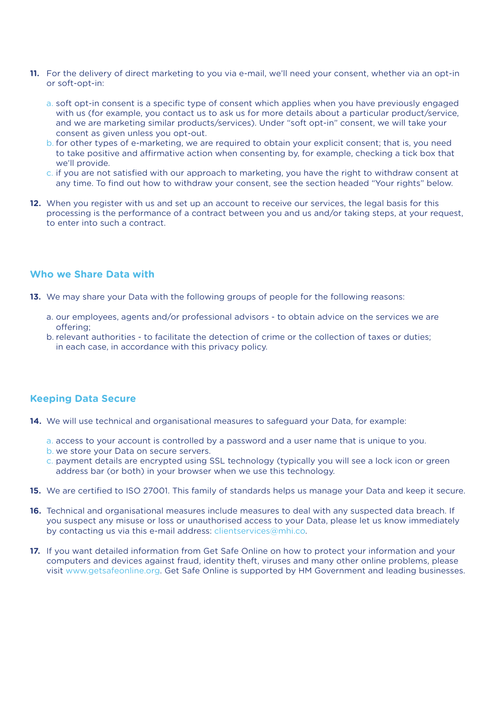- **11.** For the delivery of direct marketing to you via e-mail, we'll need your consent, whether via an opt-in or soft-opt-in:
	- a. soft opt-in consent is a specific type of consent which applies when you have previously engaged with us (for example, you contact us to ask us for more details about a particular product/service, and we are marketing similar products/services). Under "soft opt-in" consent, we will take your consent as given unless you opt-out.
	- b. for other types of e-marketing, we are required to obtain your explicit consent; that is, you need to take positive and affirmative action when consenting by, for example, checking a tick box that we'll provide.
	- c. if you are not satisfied with our approach to marketing, you have the right to withdraw consent at any time. To find out how to withdraw your consent, see the section headed "Your rights" below.
- **12.** When you register with us and set up an account to receive our services, the legal basis for this processing is the performance of a contract between you and us and/or taking steps, at your request, to enter into such a contract.

### **Who we Share Data with**

- **13.** We may share your Data with the following groups of people for the following reasons:
	- a. our employees, agents and/or professional advisors to obtain advice on the services we are offering;
	- b. relevant authorities to facilitate the detection of crime or the collection of taxes or duties; in each case, in accordance with this privacy policy.

### **Keeping Data Secure**

- **14.** We will use technical and organisational measures to safeguard your Data, for example:
	- a. access to your account is controlled by a password and a user name that is unique to you.
	- b. we store your Data on secure servers.
	- c. payment details are encrypted using SSL technology (typically you will see a lock icon or green address bar (or both) in your browser when we use this technology.
- **15.** We are certified to ISO 27001. This family of standards helps us manage your Data and keep it secure.
- **16.** Technical and organisational measures include measures to deal with any suspected data breach. If you suspect any misuse or loss or unauthorised access to your Data, please let us know immediately by contacting us via this e-mail address: clientservices@mhi.co.
- **17.** If you want detailed information from Get Safe Online on how to protect your information and your computers and devices against fraud, identity theft, viruses and many other online problems, please visit www.getsafeonline.org. Get Safe Online is supported by HM Government and leading businesses.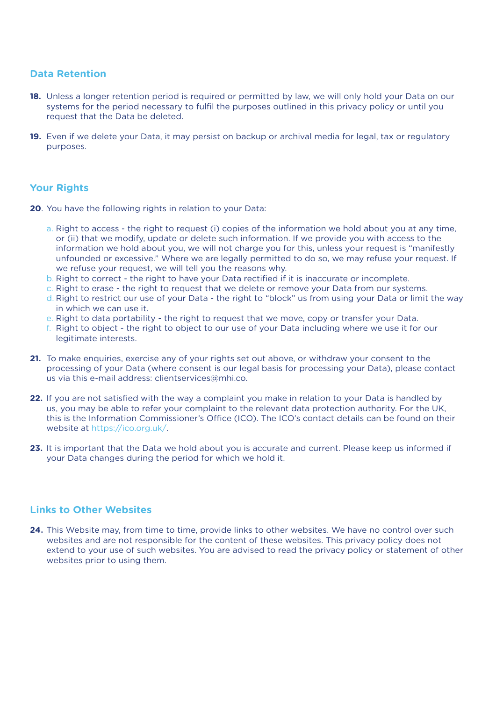### **Data Retention**

- **18.** Unless a longer retention period is required or permitted by law, we will only hold your Data on our systems for the period necessary to fulfil the purposes outlined in this privacy policy or until you request that the Data be deleted.
- **19.** Even if we delete your Data, it may persist on backup or archival media for legal, tax or regulatory purposes.

#### **Your Rights**

- **20**. You have the following rights in relation to your Data:
	- a. Right to access the right to request (i) copies of the information we hold about you at any time, or (ii) that we modify, update or delete such information. If we provide you with access to the information we hold about you, we will not charge you for this, unless your request is "manifestly unfounded or excessive." Where we are legally permitted to do so, we may refuse your request. If we refuse your request, we will tell you the reasons why.
	- b. Right to correct the right to have your Data rectified if it is inaccurate or incomplete.
	- c. Right to erase the right to request that we delete or remove your Data from our systems.
	- d. Right to restrict our use of your Data the right to "block" us from using your Data or limit the way in which we can use it.
	- e. Right to data portability the right to request that we move, copy or transfer your Data.
	- f. Right to object the right to object to our use of your Data including where we use it for our legitimate interests.
- **21.** To make enquiries, exercise any of your rights set out above, or withdraw your consent to the processing of your Data (where consent is our legal basis for processing your Data), please contact us via this e-mail address: clientservices@mhi.co.
- **22.** If you are not satisfied with the way a complaint you make in relation to your Data is handled by us, you may be able to refer your complaint to the relevant data protection authority. For the UK, this is the Information Commissioner's Office (ICO). The ICO's contact details can be found on their website at https://ico.org.uk/.
- **23.** It is important that the Data we hold about you is accurate and current. Please keep us informed if your Data changes during the period for which we hold it.

## **Links to Other Websites**

**24.** This Website may, from time to time, provide links to other websites. We have no control over such websites and are not responsible for the content of these websites. This privacy policy does not extend to your use of such websites. You are advised to read the privacy policy or statement of other websites prior to using them.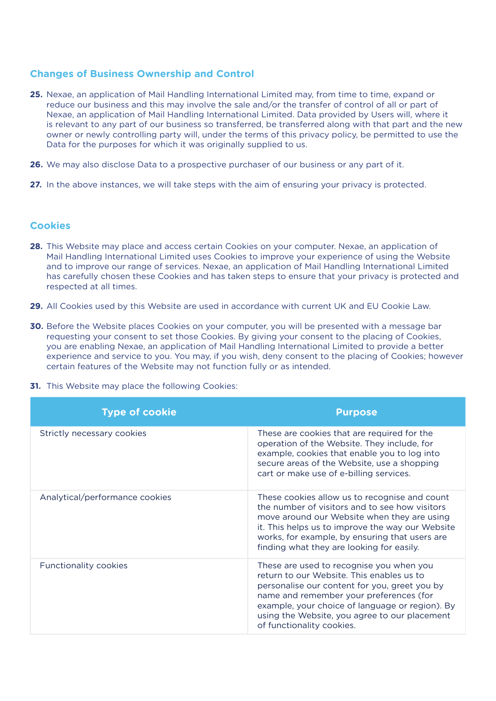## **Changes of Business Ownership and Control**

- **25.** Nexae, an application of Mail Handling International Limited may, from time to time, expand or reduce our business and this may involve the sale and/or the transfer of control of all or part of Nexae, an application of Mail Handling International Limited. Data provided by Users will, where it is relevant to any part of our business so transferred, be transferred along with that part and the new owner or newly controlling party will, under the terms of this privacy policy, be permitted to use the Data for the purposes for which it was originally supplied to us.
- **26.** We may also disclose Data to a prospective purchaser of our business or any part of it.
- **27.** In the above instances, we will take steps with the aim of ensuring your privacy is protected.

#### **Cookies**

- **28.** This Website may place and access certain Cookies on your computer. Nexae, an application of Mail Handling International Limited uses Cookies to improve your experience of using the Website and to improve our range of services. Nexae, an application of Mail Handling International Limited has carefully chosen these Cookies and has taken steps to ensure that your privacy is protected and respected at all times.
- **29.** All Cookies used by this Website are used in accordance with current UK and EU Cookie Law.
- **30.** Before the Website places Cookies on your computer, you will be presented with a message bar requesting your consent to set those Cookies. By giving your consent to the placing of Cookies, you are enabling Nexae, an application of Mail Handling International Limited to provide a better experience and service to you. You may, if you wish, deny consent to the placing of Cookies; however certain features of the Website may not function fully or as intended.
- **31.** This Website may place the following Cookies:

| <b>Type of cookie</b>          | <b>Purpose</b>                                                                                                                                                                                                                                                                                                     |
|--------------------------------|--------------------------------------------------------------------------------------------------------------------------------------------------------------------------------------------------------------------------------------------------------------------------------------------------------------------|
| Strictly necessary cookies     | These are cookies that are required for the<br>operation of the Website. They include, for<br>example, cookies that enable you to log into<br>secure areas of the Website, use a shopping<br>cart or make use of e-billing services.                                                                               |
| Analytical/performance cookies | These cookies allow us to recognise and count<br>the number of visitors and to see how visitors<br>move around our Website when they are using<br>it. This helps us to improve the way our Website<br>works, for example, by ensuring that users are<br>finding what they are looking for easily.                  |
| <b>Functionality cookies</b>   | These are used to recognise you when you<br>return to our Website. This enables us to<br>personalise our content for you, greet you by<br>name and remember your preferences (for<br>example, your choice of language or region). By<br>using the Website, you agree to our placement<br>of functionality cookies. |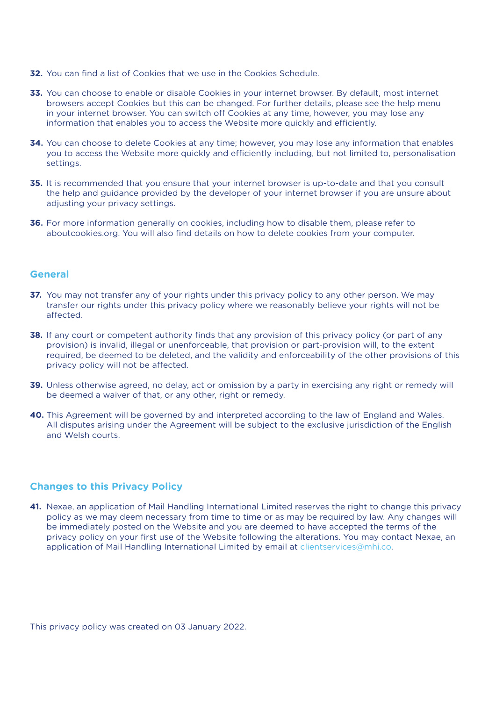- **32.** You can find a list of Cookies that we use in the Cookies Schedule.
- **33.** You can choose to enable or disable Cookies in your internet browser. By default, most internet browsers accept Cookies but this can be changed. For further details, please see the help menu in your internet browser. You can switch off Cookies at any time, however, you may lose any information that enables you to access the Website more quickly and efficiently.
- **34.** You can choose to delete Cookies at any time; however, you may lose any information that enables you to access the Website more quickly and efficiently including, but not limited to, personalisation settings.
- **35.** It is recommended that you ensure that your internet browser is up-to-date and that you consult the help and guidance provided by the developer of your internet browser if you are unsure about adjusting your privacy settings.
- **36.** For more information generally on cookies, including how to disable them, please refer to aboutcookies.org. You will also find details on how to delete cookies from your computer.

### **General**

- **37.** You may not transfer any of your rights under this privacy policy to any other person. We may transfer our rights under this privacy policy where we reasonably believe your rights will not be affected.
- **38.** If any court or competent authority finds that any provision of this privacy policy (or part of any provision) is invalid, illegal or unenforceable, that provision or part-provision will, to the extent required, be deemed to be deleted, and the validity and enforceability of the other provisions of this privacy policy will not be affected.
- **39.** Unless otherwise agreed, no delay, act or omission by a party in exercising any right or remedy will be deemed a waiver of that, or any other, right or remedy.
- **40.** This Agreement will be governed by and interpreted according to the law of England and Wales. All disputes arising under the Agreement will be subject to the exclusive jurisdiction of the English and Welsh courts.

### **Changes to this Privacy Policy**

**41.** Nexae, an application of Mail Handling International Limited reserves the right to change this privacy policy as we may deem necessary from time to time or as may be required by law. Any changes will be immediately posted on the Website and you are deemed to have accepted the terms of the privacy policy on your first use of the Website following the alterations. You may contact Nexae, an application of Mail Handling International Limited by email at clientservices@mhi.co.

This privacy policy was created on 03 January 2022.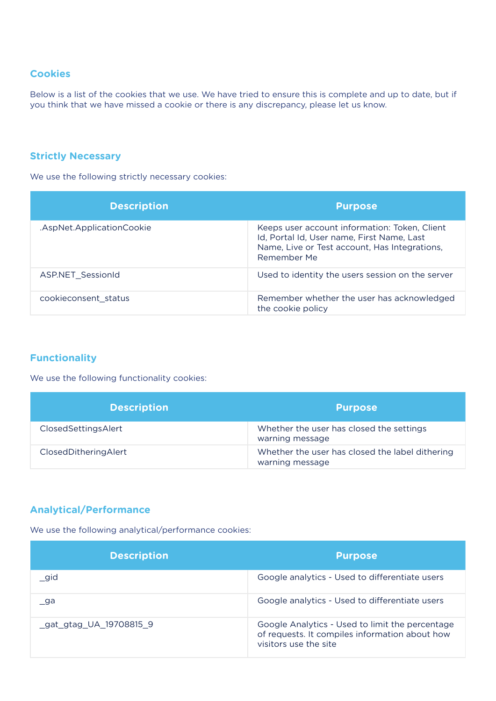# **Cookies**

Below is a list of the cookies that we use. We have tried to ensure this is complete and up to date, but if you think that we have missed a cookie or there is any discrepancy, please let us know.

## **Strictly Necessary**

We use the following strictly necessary cookies:

| <b>Description</b>        | <b>Purpose</b>                                                                                                                                              |
|---------------------------|-------------------------------------------------------------------------------------------------------------------------------------------------------------|
| .AspNet.ApplicationCookie | Keeps user account information: Token, Client<br>Id, Portal Id, User name, First Name, Last<br>Name, Live or Test account, Has Integrations,<br>Remember Me |
| ASP.NET SessionId         | Used to identity the users session on the server                                                                                                            |
| cookieconsent status      | Remember whether the user has acknowledged<br>the cookie policy                                                                                             |

## **Functionality**

We use the following functionality cookies:

| <b>Description</b>   | <b>Purpose</b>                                                     |
|----------------------|--------------------------------------------------------------------|
| ClosedSettingsAlert  | Whether the user has closed the settings<br>warning message        |
| ClosedDitheringAlert | Whether the user has closed the label dithering<br>warning message |

# **Analytical/Performance**

We use the following analytical/performance cookies:

| <b>Description</b>     | <b>Purpose</b>                                                                                                             |
|------------------------|----------------------------------------------------------------------------------------------------------------------------|
| gid                    | Google analytics - Used to differentiate users                                                                             |
| ga                     | Google analytics - Used to differentiate users                                                                             |
| gat gtag UA 19708815 9 | Google Analytics - Used to limit the percentage<br>of requests. It compiles information about how<br>visitors use the site |